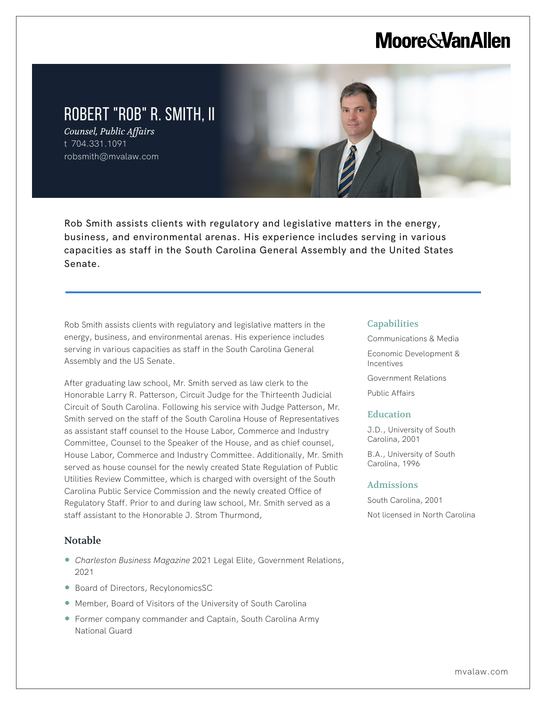# **Moore & Van Allen**

# ROBERT "ROB" R. SMITH, II

*Counsel, Public Affairs* t 704.331.1091 robsmith@mvalaw.com

Rob Smith assists clients with regulatory and legislative matters in the energy, business, and environmental arenas. His experience includes serving in various capacities as staff in the South Carolina General Assembly and the United States Senate.

Rob Smith assists clients with regulatory and legislative matters in the energy, business, and environmental arenas. His experience includes serving in various capacities as staff in the South Carolina General Assembly and the US Senate.

After graduating law school, Mr. Smith served as law clerk to the Honorable Larry R. Patterson, Circuit Judge for the Thirteenth Judicial Circuit of South Carolina. Following his service with Judge Patterson, Mr. Smith served on the staff of the South Carolina House of Representatives as assistant staff counsel to the House Labor, Commerce and Industry Committee, Counsel to the Speaker of the House, and as chief counsel, House Labor, Commerce and Industry Committee. Additionally, Mr. Smith served as house counsel for the newly created State Regulation of Public Utilities Review Committee, which is charged with oversight of the South Carolina Public Service Commission and the newly created Office of Regulatory Staff. Prior to and during law school, Mr. Smith served as a staff assistant to the Honorable J. Strom Thurmond,

### Notable

L

- *Charleston Business Magazine* 2021 Legal Elite, Government Relations, 2021
- Board of Directors, RecylonomicsSC
- Member, Board of Visitors of the University of South Carolina
- Former company commander and Captain, South Carolina Army National Guard

#### **Capabilities**

Communications & Media

- Economic Development & Incentives
- Government Relations

Public Affairs

#### **Education**

J.D., University of South Carolina, 2001

B.A., University of South Carolina, 1996

#### Admissions

South Carolina, 2001 Not licensed in North Carolina